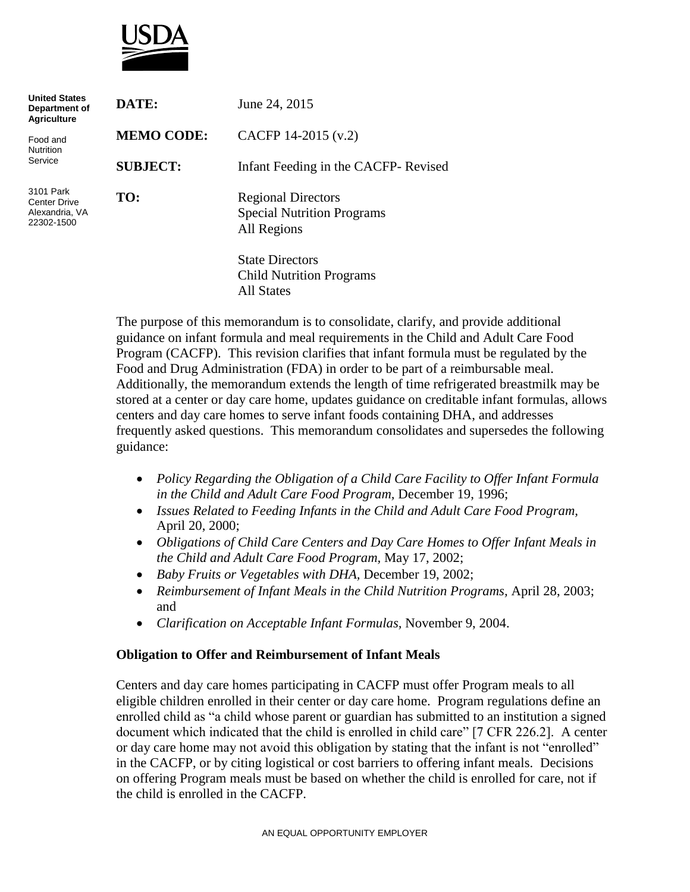

| <b>United States</b><br>Department of<br><b>Agriculture</b>      | DATE:             | June 24, 2015                                                                 |
|------------------------------------------------------------------|-------------------|-------------------------------------------------------------------------------|
| Food and<br><b>Nutrition</b><br>Service                          | <b>MEMO CODE:</b> | CACFP 14-2015 (v.2)                                                           |
|                                                                  | <b>SUBJECT:</b>   | Infant Feeding in the CACFP-Revised                                           |
| 3101 Park<br><b>Center Drive</b><br>Alexandria, VA<br>22302-1500 | TO:               | <b>Regional Directors</b><br><b>Special Nutrition Programs</b><br>All Regions |
|                                                                  |                   | <b>State Directors</b><br><b>Child Nutrition Programs</b><br>All States       |

The purpose of this memorandum is to consolidate, clarify, and provide additional guidance on infant formula and meal requirements in the Child and Adult Care Food Program (CACFP). This revision clarifies that infant formula must be regulated by the Food and Drug Administration (FDA) in order to be part of a reimbursable meal. Additionally, the memorandum extends the length of time refrigerated breastmilk may be stored at a center or day care home, updates guidance on creditable infant formulas, allows centers and day care homes to serve infant foods containing DHA, and addresses frequently asked questions. This memorandum consolidates and supersedes the following guidance:

- *Policy Regarding the Obligation of a Child Care Facility to Offer Infant Formula in the Child and Adult Care Food Program,* December 19, 1996;
- *Issues Related to Feeding Infants in the Child and Adult Care Food Program,*  April 20, 2000;
- *Obligations of Child Care Centers and Day Care Homes to Offer Infant Meals in the Child and Adult Care Food Program,* May 17, 2002;
- *Baby Fruits or Vegetables with DHA,* December 19, 2002;
- *Reimbursement of Infant Meals in the Child Nutrition Programs,* April 28, 2003; and
- *Clarification on Acceptable Infant Formulas,* November 9, 2004.

#### **Obligation to Offer and Reimbursement of Infant Meals**

Centers and day care homes participating in CACFP must offer Program meals to all eligible children enrolled in their center or day care home. Program regulations define an enrolled child as "a child whose parent or guardian has submitted to an institution a signed document which indicated that the child is enrolled in child care" [7 CFR 226.2]. A center or day care home may not avoid this obligation by stating that the infant is not "enrolled" in the CACFP, or by citing logistical or cost barriers to offering infant meals. Decisions on offering Program meals must be based on whether the child is enrolled for care, not if the child is enrolled in the CACFP.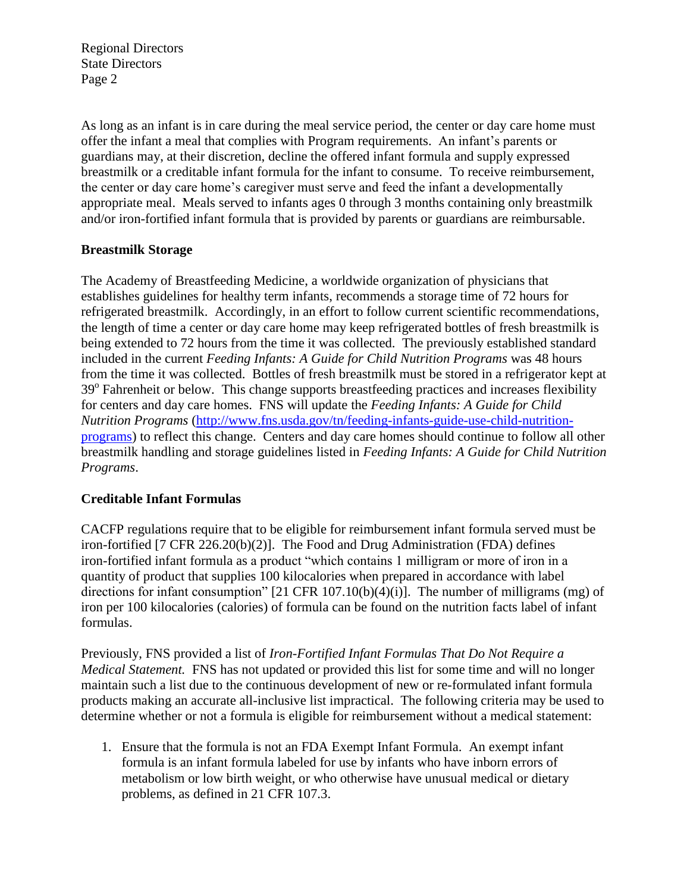Regional Directors State Directors Page 2

As long as an infant is in care during the meal service period, the center or day care home must offer the infant a meal that complies with Program requirements. An infant's parents or guardians may, at their discretion, decline the offered infant formula and supply expressed breastmilk or a creditable infant formula for the infant to consume. To receive reimbursement, the center or day care home's caregiver must serve and feed the infant a developmentally appropriate meal. Meals served to infants ages 0 through 3 months containing only breastmilk and/or iron-fortified infant formula that is provided by parents or guardians are reimbursable.

# **Breastmilk Storage**

The Academy of Breastfeeding Medicine, a worldwide organization of physicians that establishes guidelines for healthy term infants, recommends a storage time of 72 hours for refrigerated breastmilk. Accordingly, in an effort to follow current scientific recommendations, the length of time a center or day care home may keep refrigerated bottles of fresh breastmilk is being extended to 72 hours from the time it was collected. The previously established standard included in the current *Feeding Infants: A Guide for Child Nutrition Programs* was 48 hours from the time it was collected. Bottles of fresh breastmilk must be stored in a refrigerator kept at 39° Fahrenheit or below. This change supports breastfeeding practices and increases flexibility for centers and day care homes. FNS will update the *Feeding Infants: A Guide for Child Nutrition Programs* [\(http://www.fns.usda.gov/tn/feeding-infants-guide-use-child-nutrition](http://www.fns.usda.gov/tn/feeding-infants-guide-use-child-nutrition-programs)[programs\)](http://www.fns.usda.gov/tn/feeding-infants-guide-use-child-nutrition-programs) to reflect this change. Centers and day care homes should continue to follow all other breastmilk handling and storage guidelines listed in *Feeding Infants: A Guide for Child Nutrition Programs*.

# **Creditable Infant Formulas**

CACFP regulations require that to be eligible for reimbursement infant formula served must be iron-fortified [7 CFR 226.20(b)(2)]. The Food and Drug Administration (FDA) defines iron-fortified infant formula as a product "which contains 1 milligram or more of iron in a quantity of product that supplies 100 kilocalories when prepared in accordance with label directions for infant consumption"  $[21 \text{ CFR } 107.10(b)(4)(i)]$ . The number of milligrams (mg) of iron per 100 kilocalories (calories) of formula can be found on the nutrition facts label of infant formulas.

Previously, FNS provided a list of *Iron-Fortified Infant Formulas That Do Not Require a Medical Statement.* FNS has not updated or provided this list for some time and will no longer maintain such a list due to the continuous development of new or re-formulated infant formula products making an accurate all-inclusive list impractical. The following criteria may be used to determine whether or not a formula is eligible for reimbursement without a medical statement:

1. Ensure that the formula is not an FDA Exempt Infant Formula. An exempt infant formula is an infant formula labeled for use by infants who have inborn errors of metabolism or low birth weight, or who otherwise have unusual medical or dietary problems, as defined in 21 CFR 107.3.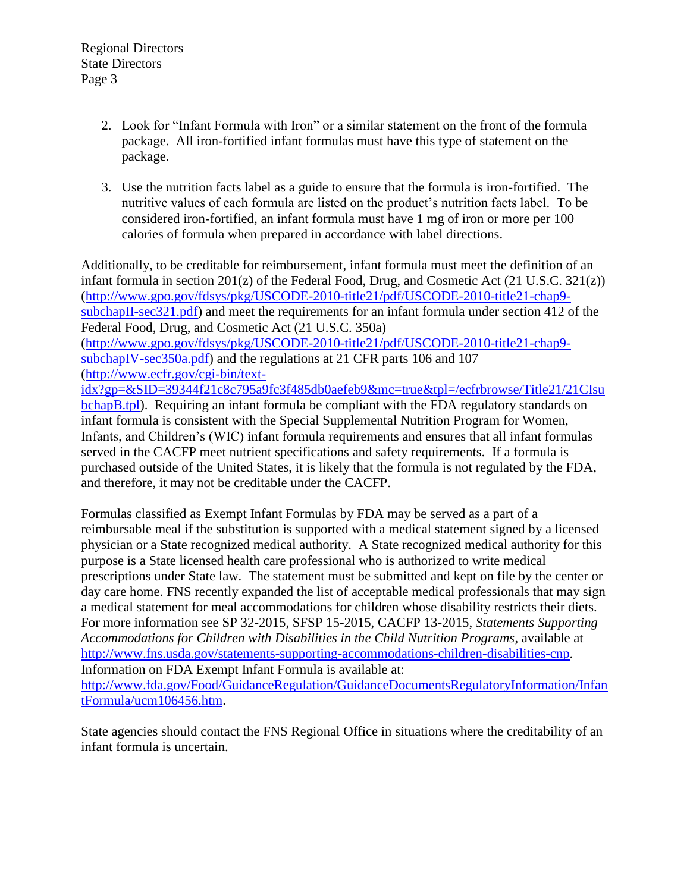- 2. Look for "Infant Formula with Iron" or a similar statement on the front of the formula package. All iron-fortified infant formulas must have this type of statement on the package.
- 3. Use the nutrition facts label as a guide to ensure that the formula is iron-fortified. The nutritive values of each formula are listed on the product's nutrition facts label. To be considered iron-fortified, an infant formula must have 1 mg of iron or more per 100 calories of formula when prepared in accordance with label directions.

Additionally, to be creditable for reimbursement, infant formula must meet the definition of an infant formula in section 201(z) of the Federal Food, Drug, and Cosmetic Act (21 U.S.C. 321(z)) [\(http://www.gpo.gov/fdsys/pkg/USCODE-2010-title21/pdf/USCODE-2010-title21-chap9](http://www.gpo.gov/fdsys/pkg/USCODE-2010-title21/pdf/USCODE-2010-title21-chap9-subchapII-sec321.pdf) [subchapII-sec321.pdf\)](http://www.gpo.gov/fdsys/pkg/USCODE-2010-title21/pdf/USCODE-2010-title21-chap9-subchapII-sec321.pdf) and meet the requirements for an infant formula under section 412 of the Federal Food, Drug, and Cosmetic Act (21 U.S.C. 350a) [\(http://www.gpo.gov/fdsys/pkg/USCODE-2010-title21/pdf/USCODE-2010-title21-chap9](http://www.gpo.gov/fdsys/pkg/USCODE-2010-title21/pdf/USCODE-2010-title21-chap9-subchapIV-sec350a.pdf) [subchapIV-sec350a.pdf\)](http://www.gpo.gov/fdsys/pkg/USCODE-2010-title21/pdf/USCODE-2010-title21-chap9-subchapIV-sec350a.pdf) and the regulations at 21 CFR parts 106 and 107 [\(http://www.ecfr.gov/cgi-bin/text](http://www.ecfr.gov/cgi-bin/text-idx?gp=&SID=39344f21c8c795a9fc3f485db0aefeb9&mc=true&tpl=/ecfrbrowse/Title21/21CIsubchapB.tpl)[idx?gp=&SID=39344f21c8c795a9fc3f485db0aefeb9&mc=true&tpl=/ecfrbrowse/Title21/21CIsu](http://www.ecfr.gov/cgi-bin/text-idx?gp=&SID=39344f21c8c795a9fc3f485db0aefeb9&mc=true&tpl=/ecfrbrowse/Title21/21CIsubchapB.tpl) [bchapB.tpl\)](http://www.ecfr.gov/cgi-bin/text-idx?gp=&SID=39344f21c8c795a9fc3f485db0aefeb9&mc=true&tpl=/ecfrbrowse/Title21/21CIsubchapB.tpl). Requiring an infant formula be compliant with the FDA regulatory standards on infant formula is consistent with the Special Supplemental Nutrition Program for Women, Infants, and Children's (WIC) infant formula requirements and ensures that all infant formulas served in the CACFP meet nutrient specifications and safety requirements. If a formula is purchased outside of the United States, it is likely that the formula is not regulated by the FDA, and therefore, it may not be creditable under the CACFP.

Formulas classified as Exempt Infant Formulas by FDA may be served as a part of a reimbursable meal if the substitution is supported with a medical statement signed by a licensed physician or a State recognized medical authority. A State recognized medical authority for this purpose is a State licensed health care professional who is authorized to write medical prescriptions under State law. The statement must be submitted and kept on file by the center or day care home. FNS recently expanded the list of acceptable medical professionals that may sign a medical statement for meal accommodations for children whose disability restricts their diets. For more information see SP 32-2015, SFSP 15-2015, CACFP 13-2015, *Statements Supporting Accommodations for Children with Disabilities in the Child Nutrition Programs*, available at [http://www.fns.usda.gov/statements-supporting-accommodations-children-disabilities-cnp.](http://www.fns.usda.gov/statements-supporting-accommodations-children-disabilities-cnp) Information on FDA Exempt Infant Formula is available at: [http://www.fda.gov/Food/GuidanceRegulation/GuidanceDocumentsRegulatoryInformation/Infan](http://www.fda.gov/Food/GuidanceRegulation/GuidanceDocumentsRegulatoryInformation/InfantFormula/ucm106456.htm)

[tFormula/ucm106456.htm.](http://www.fda.gov/Food/GuidanceRegulation/GuidanceDocumentsRegulatoryInformation/InfantFormula/ucm106456.htm)

State agencies should contact the FNS Regional Office in situations where the creditability of an infant formula is uncertain.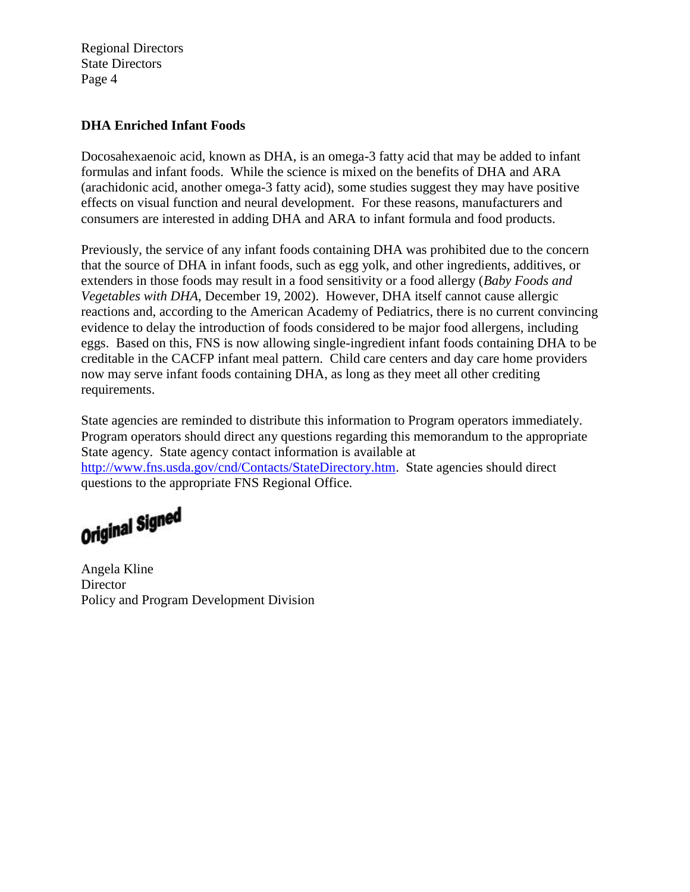Regional Directors State Directors Page 4

### **DHA Enriched Infant Foods**

Docosahexaenoic acid, known as DHA, is an omega-3 fatty acid that may be added to infant formulas and infant foods. While the science is mixed on the benefits of DHA and ARA (arachidonic acid, another omega-3 fatty acid), some studies suggest they may have positive effects on visual function and neural development. For these reasons, manufacturers and consumers are interested in adding DHA and ARA to infant formula and food products.

Previously, the service of any infant foods containing DHA was prohibited due to the concern that the source of DHA in infant foods, such as egg yolk, and other ingredients, additives, or extenders in those foods may result in a food sensitivity or a food allergy (*Baby Foods and Vegetables with DHA*, December 19, 2002). However, DHA itself cannot cause allergic reactions and, according to the American Academy of Pediatrics, there is no current convincing evidence to delay the introduction of foods considered to be major food allergens, including eggs. Based on this, FNS is now allowing single-ingredient infant foods containing DHA to be creditable in the CACFP infant meal pattern. Child care centers and day care home providers now may serve infant foods containing DHA, as long as they meet all other crediting requirements.

State agencies are reminded to distribute this information to Program operators immediately. Program operators should direct any questions regarding this memorandum to the appropriate State agency. State agency contact information is available at [http://www.fns.usda.gov/cnd/Contacts/StateDirectory.htm.](http://www.fns.usda.gov/cnd/Contacts/StateDirectory.htm) State agencies should direct questions to the appropriate FNS Regional Office.

Original Signed

Angela Kline **Director** Policy and Program Development Division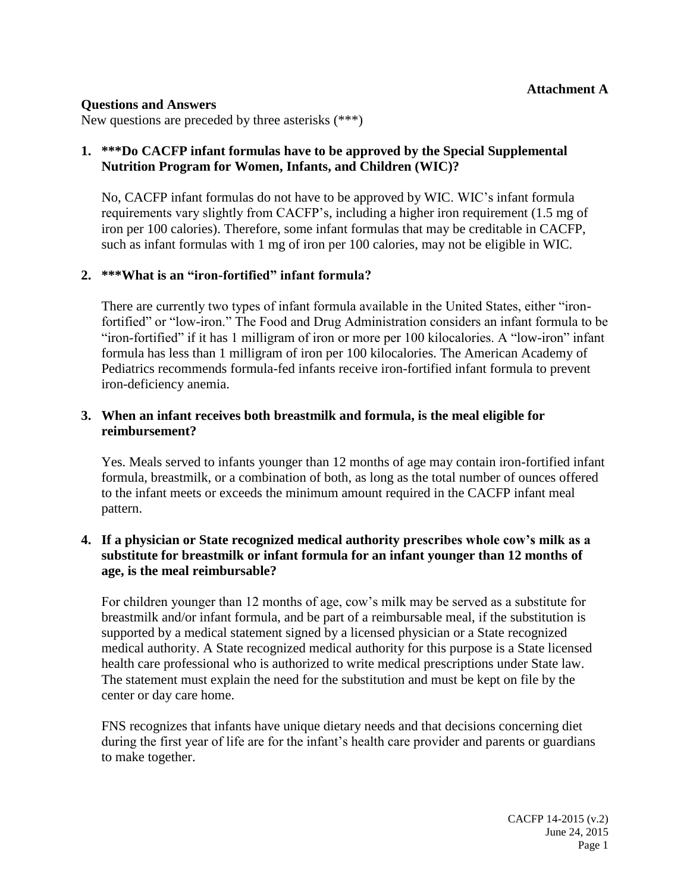#### **Questions and Answers**

New questions are preceded by three asterisks (\*\*\*)

# **1. \*\*\*Do CACFP infant formulas have to be approved by the Special Supplemental Nutrition Program for Women, Infants, and Children (WIC)?**

No, CACFP infant formulas do not have to be approved by WIC. WIC's infant formula requirements vary slightly from CACFP's, including a higher iron requirement (1.5 mg of iron per 100 calories). Therefore, some infant formulas that may be creditable in CACFP, such as infant formulas with 1 mg of iron per 100 calories, may not be eligible in WIC.

# **2. \*\*\*What is an "iron-fortified" infant formula?**

There are currently two types of infant formula available in the United States, either "ironfortified" or "low-iron." The Food and Drug Administration considers an infant formula to be "iron-fortified" if it has 1 milligram of iron or more per 100 kilocalories. A "low-iron" infant formula has less than 1 milligram of iron per 100 kilocalories. The American Academy of Pediatrics recommends formula-fed infants receive iron-fortified infant formula to prevent iron-deficiency anemia.

# **3. When an infant receives both breastmilk and formula, is the meal eligible for reimbursement?**

Yes. Meals served to infants younger than 12 months of age may contain iron-fortified infant formula, breastmilk, or a combination of both, as long as the total number of ounces offered to the infant meets or exceeds the minimum amount required in the CACFP infant meal pattern.

# **4. If a physician or State recognized medical authority prescribes whole cow's milk as a substitute for breastmilk or infant formula for an infant younger than 12 months of age, is the meal reimbursable?**

For children younger than 12 months of age, cow's milk may be served as a substitute for breastmilk and/or infant formula, and be part of a reimbursable meal, if the substitution is supported by a medical statement signed by a licensed physician or a State recognized medical authority. A State recognized medical authority for this purpose is a State licensed health care professional who is authorized to write medical prescriptions under State law. The statement must explain the need for the substitution and must be kept on file by the center or day care home.

FNS recognizes that infants have unique dietary needs and that decisions concerning diet during the first year of life are for the infant's health care provider and parents or guardians to make together.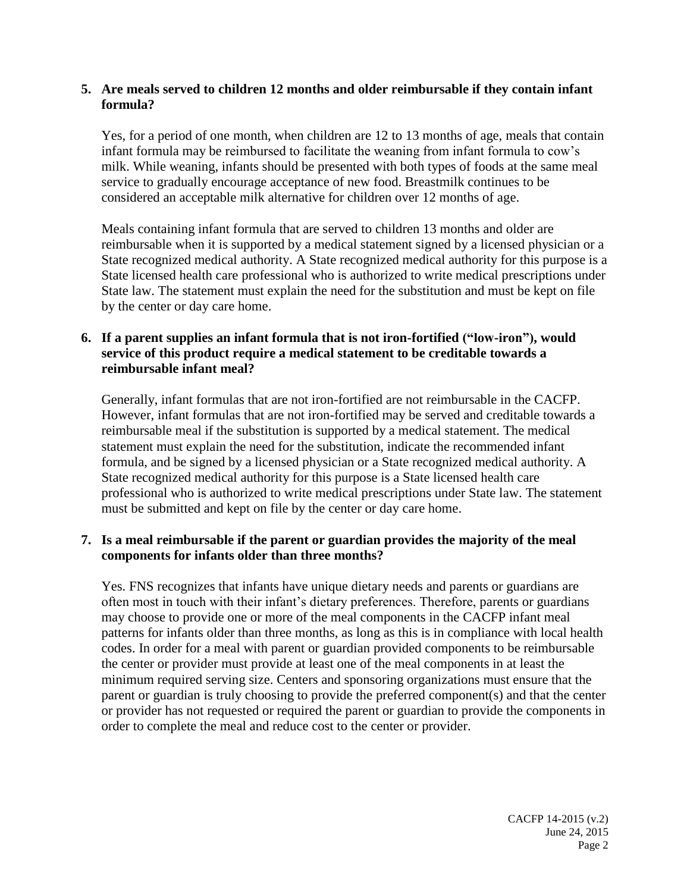# **5. Are meals served to children 12 months and older reimbursable if they contain infant formula?**

Yes, for a period of one month, when children are 12 to 13 months of age, meals that contain infant formula may be reimbursed to facilitate the weaning from infant formula to cow's milk. While weaning, infants should be presented with both types of foods at the same meal service to gradually encourage acceptance of new food. Breastmilk continues to be considered an acceptable milk alternative for children over 12 months of age.

Meals containing infant formula that are served to children 13 months and older are reimbursable when it is supported by a medical statement signed by a licensed physician or a State recognized medical authority. A State recognized medical authority for this purpose is a State licensed health care professional who is authorized to write medical prescriptions under State law. The statement must explain the need for the substitution and must be kept on file by the center or day care home.

# **6. If a parent supplies an infant formula that is not iron-fortified ("low-iron"), would service of this product require a medical statement to be creditable towards a reimbursable infant meal?**

Generally, infant formulas that are not iron-fortified are not reimbursable in the CACFP. However, infant formulas that are not iron-fortified may be served and creditable towards a reimbursable meal if the substitution is supported by a medical statement. The medical statement must explain the need for the substitution, indicate the recommended infant formula, and be signed by a licensed physician or a State recognized medical authority. A State recognized medical authority for this purpose is a State licensed health care professional who is authorized to write medical prescriptions under State law. The statement must be submitted and kept on file by the center or day care home.

# **7. Is a meal reimbursable if the parent or guardian provides the majority of the meal components for infants older than three months?**

Yes. FNS recognizes that infants have unique dietary needs and parents or guardians are often most in touch with their infant's dietary preferences. Therefore, parents or guardians may choose to provide one or more of the meal components in the CACFP infant meal patterns for infants older than three months, as long as this is in compliance with local health codes. In order for a meal with parent or guardian provided components to be reimbursable the center or provider must provide at least one of the meal components in at least the minimum required serving size. Centers and sponsoring organizations must ensure that the parent or guardian is truly choosing to provide the preferred component(s) and that the center or provider has not requested or required the parent or guardian to provide the components in order to complete the meal and reduce cost to the center or provider.